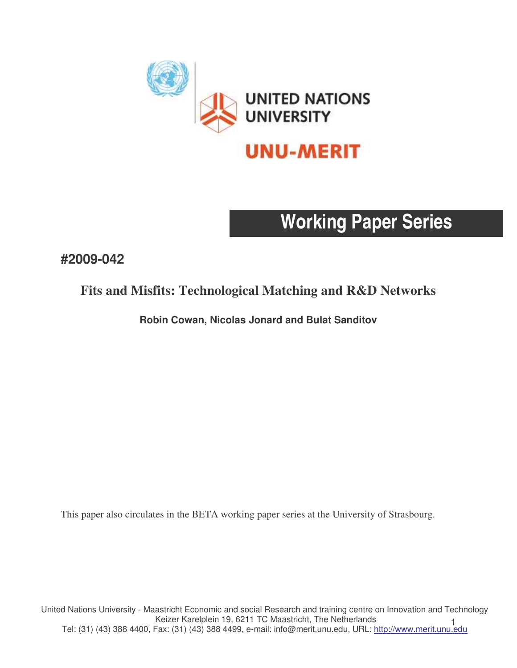

# **Working Paper Series**

## **#2009-042**

## **Fits and Misfits: Technological Matching and R&D Networks**

**Robin Cowan, Nicolas Jonard and Bulat Sanditov**

This paper also circulates in the BETA working paper series at the University of Strasbourg.

1<sub>1</sub> 1 - Keizer Kareipieln 19, 6211 TC Maastricht, The Netherlands<br>Tel: (31) (43) 388 4400, Fax: (31) (43) 388 4499, e-mail: info@merit.unu.edu, URL: <u>http://www.merit.unu.edu</u> United Nations University - Maastricht Economic and social Research and training centre on Innovation and Technology Keizer Karelplein 19, 6211 TC Maastricht, The Netherlands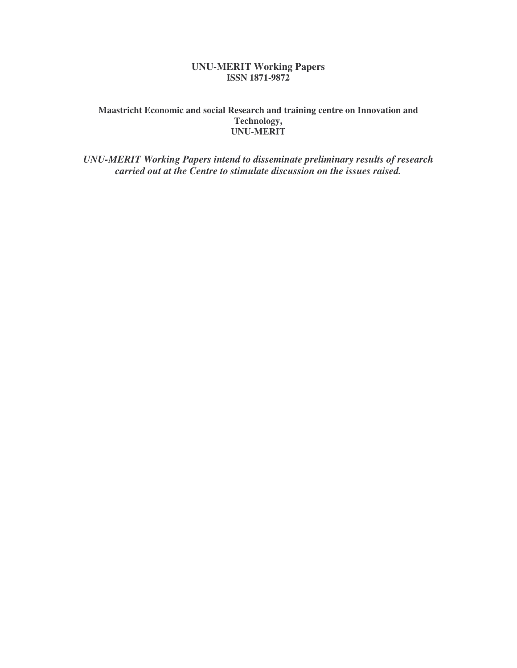## **UNU-MERIT Working Papers ISSN 1871-9872**

### **Maastricht Economic and social Research and training centre on Innovation and Technology, UNU-MERIT**

*UNU-MERIT Working Papers intend to disseminate preliminary results of research carried out at the Centre to stimulate discussion on the issues raised.*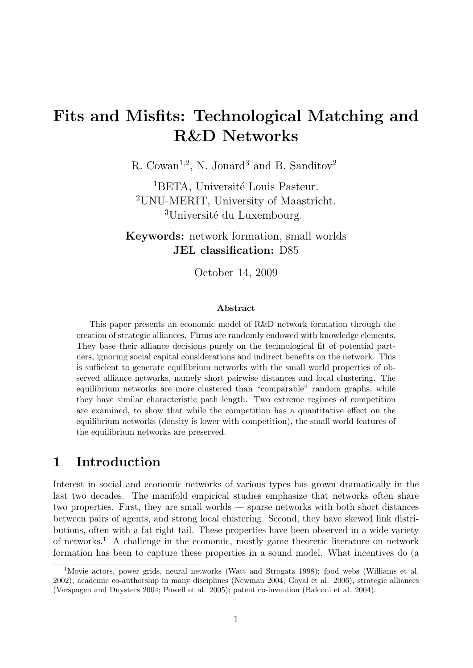## Fits and Misfits: Technological Matching and R&D Networks

R. Cowan<sup>1,2</sup>, N. Jonard<sup>3</sup> and B. Sanditov<sup>2</sup>

<sup>1</sup>BETA, Université Louis Pasteur. <sup>2</sup>UNU-MERIT, University of Maastricht. <sup>3</sup>Université du Luxembourg.

Keywords: network formation, small worlds JEL classification: D85

October 14, 2009

#### Abstract

This paper presents an economic model of R&D network formation through the creation of strategic alliances. Firms are randomly endowed with knowledge elements. They base their alliance decisions purely on the technological fit of potential partners, ignoring social capital considerations and indirect benefits on the network. This is sufficient to generate equilibrium networks with the small world properties of observed alliance networks, namely short pairwise distances and local clustering. The equilibrium networks are more clustered than "comparable" random graphs, while they have similar characteristic path length. Two extreme regimes of competition are examined, to show that while the competition has a quantitative effect on the equilibrium networks (density is lower with competition), the small world features of the equilibrium networks are preserved.

## 1 Introduction

Interest in social and economic networks of various types has grown dramatically in the last two decades. The manifold empirical studies emphasize that networks often share two properties. First, they are small worlds — sparse networks with both short distances between pairs of agents, and strong local clustering. Second, they have skewed link distributions, often with a fat right tail. These properties have been observed in a wide variety of networks.<sup>1</sup> A challenge in the economic, mostly game theoretic literature on network formation has been to capture these properties in a sound model. What incentives do (a

<sup>&</sup>lt;sup>1</sup>Movie actors, power grids, neural networks (Watt and Strogatz 1998); food webs (Williams et al. 2002); academic co-authorship in many disciplines (Newman 2004; Goyal et al. 2006), strategic alliances (Verspagen and Duysters 2004; Powell et al. 2005); patent co-invention (Balconi et al. 2004).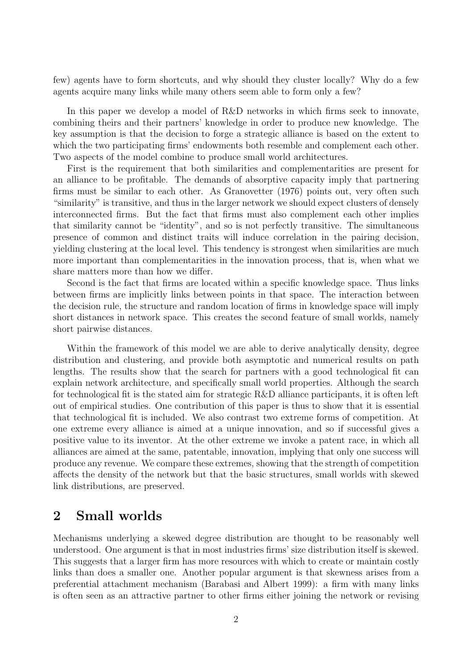few) agents have to form shortcuts, and why should they cluster locally? Why do a few agents acquire many links while many others seem able to form only a few?

In this paper we develop a model of R&D networks in which firms seek to innovate, combining theirs and their partners' knowledge in order to produce new knowledge. The key assumption is that the decision to forge a strategic alliance is based on the extent to which the two participating firms' endowments both resemble and complement each other. Two aspects of the model combine to produce small world architectures.

First is the requirement that both similarities and complementarities are present for an alliance to be profitable. The demands of absorptive capacity imply that partnering firms must be similar to each other. As Granovetter (1976) points out, very often such "similarity" is transitive, and thus in the larger network we should expect clusters of densely interconnected firms. But the fact that firms must also complement each other implies that similarity cannot be "identity", and so is not perfectly transitive. The simultaneous presence of common and distinct traits will induce correlation in the pairing decision, yielding clustering at the local level. This tendency is strongest when similarities are much more important than complementarities in the innovation process, that is, when what we share matters more than how we differ.

Second is the fact that firms are located within a specific knowledge space. Thus links between firms are implicitly links between points in that space. The interaction between the decision rule, the structure and random location of firms in knowledge space will imply short distances in network space. This creates the second feature of small worlds, namely short pairwise distances.

Within the framework of this model we are able to derive analytically density, degree distribution and clustering, and provide both asymptotic and numerical results on path lengths. The results show that the search for partners with a good technological fit can explain network architecture, and specifically small world properties. Although the search for technological fit is the stated aim for strategic R&D alliance participants, it is often left out of empirical studies. One contribution of this paper is thus to show that it is essential that technological fit is included. We also contrast two extreme forms of competition. At one extreme every alliance is aimed at a unique innovation, and so if successful gives a positive value to its inventor. At the other extreme we invoke a patent race, in which all alliances are aimed at the same, patentable, innovation, implying that only one success will produce any revenue. We compare these extremes, showing that the strength of competition affects the density of the network but that the basic structures, small worlds with skewed link distributions, are preserved.

## 2 Small worlds

Mechanisms underlying a skewed degree distribution are thought to be reasonably well understood. One argument is that in most industries firms' size distribution itself is skewed. This suggests that a larger firm has more resources with which to create or maintain costly links than does a smaller one. Another popular argument is that skewness arises from a preferential attachment mechanism (Barabasi and Albert 1999): a firm with many links is often seen as an attractive partner to other firms either joining the network or revising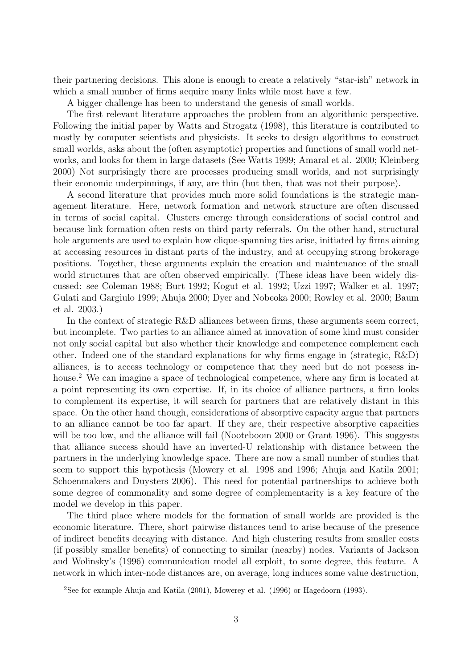their partnering decisions. This alone is enough to create a relatively "star-ish" network in which a small number of firms acquire many links while most have a few.

A bigger challenge has been to understand the genesis of small worlds.

The first relevant literature approaches the problem from an algorithmic perspective. Following the initial paper by Watts and Strogatz (1998), this literature is contributed to mostly by computer scientists and physicists. It seeks to design algorithms to construct small worlds, asks about the (often asymptotic) properties and functions of small world networks, and looks for them in large datasets (See Watts 1999; Amaral et al. 2000; Kleinberg 2000) Not surprisingly there are processes producing small worlds, and not surprisingly their economic underpinnings, if any, are thin (but then, that was not their purpose).

A second literature that provides much more solid foundations is the strategic management literature. Here, network formation and network structure are often discussed in terms of social capital. Clusters emerge through considerations of social control and because link formation often rests on third party referrals. On the other hand, structural hole arguments are used to explain how clique-spanning ties arise, initiated by firms aiming at accessing resources in distant parts of the industry, and at occupying strong brokerage positions. Together, these arguments explain the creation and maintenance of the small world structures that are often observed empirically. (These ideas have been widely discussed: see Coleman 1988; Burt 1992; Kogut et al. 1992; Uzzi 1997; Walker et al. 1997; Gulati and Gargiulo 1999; Ahuja 2000; Dyer and Nobeoka 2000; Rowley et al. 2000; Baum et al. 2003.)

In the context of strategic R&D alliances between firms, these arguments seem correct, but incomplete. Two parties to an alliance aimed at innovation of some kind must consider not only social capital but also whether their knowledge and competence complement each other. Indeed one of the standard explanations for why firms engage in (strategic, R&D) alliances, is to access technology or competence that they need but do not possess inhouse.<sup>2</sup> We can imagine a space of technological competence, where any firm is located at a point representing its own expertise. If, in its choice of alliance partners, a firm looks to complement its expertise, it will search for partners that are relatively distant in this space. On the other hand though, considerations of absorptive capacity argue that partners to an alliance cannot be too far apart. If they are, their respective absorptive capacities will be too low, and the alliance will fail (Nooteboom 2000 or Grant 1996). This suggests that alliance success should have an inverted-U relationship with distance between the partners in the underlying knowledge space. There are now a small number of studies that seem to support this hypothesis (Mowery et al. 1998 and 1996; Ahuja and Katila 2001; Schoenmakers and Duysters 2006). This need for potential partnerships to achieve both some degree of commonality and some degree of complementarity is a key feature of the model we develop in this paper.

The third place where models for the formation of small worlds are provided is the economic literature. There, short pairwise distances tend to arise because of the presence of indirect benefits decaying with distance. And high clustering results from smaller costs (if possibly smaller benefits) of connecting to similar (nearby) nodes. Variants of Jackson and Wolinsky's (1996) communication model all exploit, to some degree, this feature. A network in which inter-node distances are, on average, long induces some value destruction,

<sup>2</sup>See for example Ahuja and Katila (2001), Mowerey et al. (1996) or Hagedoorn (1993).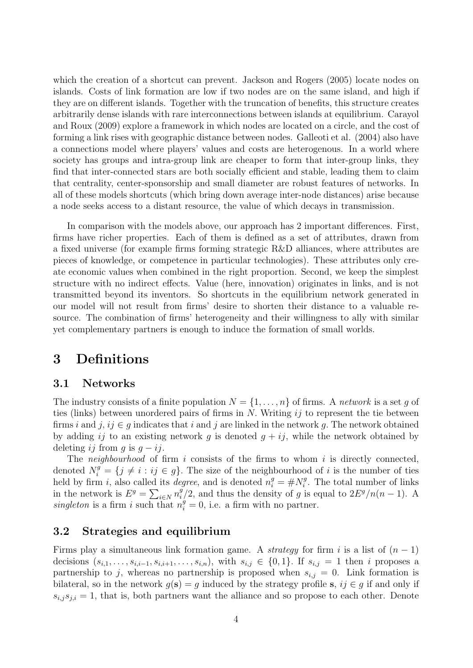which the creation of a shortcut can prevent. Jackson and Rogers (2005) locate nodes on islands. Costs of link formation are low if two nodes are on the same island, and high if they are on different islands. Together with the truncation of benefits, this structure creates arbitrarily dense islands with rare interconnections between islands at equilibrium. Carayol and Roux (2009) explore a framework in which nodes are located on a circle, and the cost of forming a link rises with geographic distance between nodes. Galleoti et al. (2004) also have a connections model where players' values and costs are heterogenous. In a world where society has groups and intra-group link are cheaper to form that inter-group links, they find that inter-connected stars are both socially efficient and stable, leading them to claim that centrality, center-sponsorship and small diameter are robust features of networks. In all of these models shortcuts (which bring down average inter-node distances) arise because a node seeks access to a distant resource, the value of which decays in transmission.

In comparison with the models above, our approach has 2 important differences. First, firms have richer properties. Each of them is defined as a set of attributes, drawn from a fixed universe (for example firms forming strategic R&D alliances, where attributes are pieces of knowledge, or competence in particular technologies). These attributes only create economic values when combined in the right proportion. Second, we keep the simplest structure with no indirect effects. Value (here, innovation) originates in links, and is not transmitted beyond its inventors. So shortcuts in the equilibrium network generated in our model will not result from firms' desire to shorten their distance to a valuable resource. The combination of firms' heterogeneity and their willingness to ally with similar yet complementary partners is enough to induce the formation of small worlds.

## 3 Definitions

## 3.1 Networks

The industry consists of a finite population  $N = \{1, \ldots, n\}$  of firms. A network is a set g of ties (links) between unordered pairs of firms in  $N$ . Writing  $ij$  to represent the tie between firms i and j, ij  $\in$  g indicates that i and j are linked in the network g. The network obtained by adding ij to an existing network g is denoted  $g + ij$ , while the network obtained by deleting ij from q is  $q - ij$ .

The *neighbourhood* of firm i consists of the firms to whom i is directly connected, denoted  $N_i^g = \{j \neq i : ij \in g\}$ . The size of the neighbourhood of i is the number of ties held by firm *i*, also called its *degree*, and is denoted  $n_i^g = \# N_i^g$  $i<sup>g</sup>$ . The total number of links in the network is  $E^g = \sum_{i \in N} n_i^g$  $i<sup>g</sup>/2$ , and thus the density of g is equal to  $2E<sup>g</sup>/n(n-1)$ . A singleton is a firm i such that  $n_i^g = 0$ , i.e. a firm with no partner.

## 3.2 Strategies and equilibrium

Firms play a simultaneous link formation game. A *strategy* for firm i is a list of  $(n - 1)$ decisions  $(s_{i,1},\ldots,s_{i,i-1},s_{i,i+1},\ldots,s_{i,n})$ , with  $s_{i,j} \in \{0,1\}$ . If  $s_{i,j} = 1$  then i proposes a partnership to j, whereas no partnership is proposed when  $s_{i,j} = 0$ . Link formation is bilateral, so in the network  $g(s) = g$  induced by the strategy profile s,  $ij \in g$  if and only if  $s_{i,j}s_{j,i} = 1$ , that is, both partners want the alliance and so propose to each other. Denote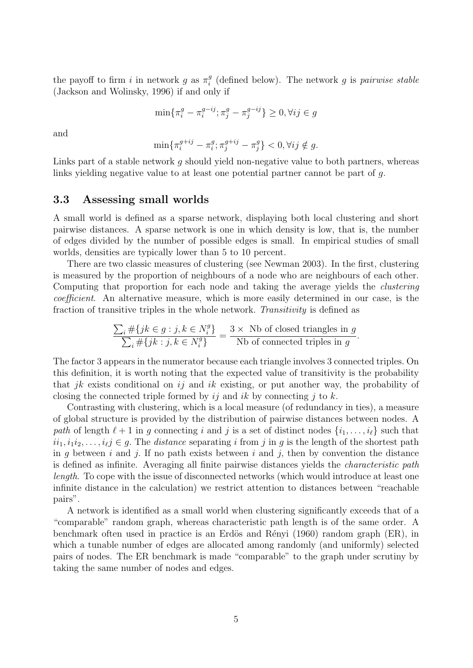the payoff to firm i in network g as  $\pi_i^g$  $_i^g$  (defined below). The network g is pairwise stable (Jackson and Wolinsky, 1996) if and only if

> $\min\{\pi_i^g - \pi_i^{g-ij}\}$  $i^{g-ij}; \pi_j^g - \pi_j^{g-ij}$  $\{g^{-ij}\}\geq 0, \forall ij\in g$

and

$$
\min\{\pi_i^{g+ij}-\pi_i^g; \pi_j^{g+ij}-\pi_j^g\} < 0, \forall ij \notin g.
$$

Links part of a stable network q should yield non-negative value to both partners, whereas links yielding negative value to at least one potential partner cannot be part of g.

#### 3.3 Assessing small worlds

A small world is defined as a sparse network, displaying both local clustering and short pairwise distances. A sparse network is one in which density is low, that is, the number of edges divided by the number of possible edges is small. In empirical studies of small worlds, densities are typically lower than 5 to 10 percent.

There are two classic measures of clustering (see Newman 2003). In the first, clustering is measured by the proportion of neighbours of a node who are neighbours of each other. Computing that proportion for each node and taking the average yields the clustering coefficient. An alternative measure, which is more easily determined in our case, is the fraction of transitive triples in the whole network. Transitivity is defined as

$$
\frac{\sum_{i} \# \{jk \in g : j, k \in N_i^g\}}{\sum_{i} \# \{jk : j, k \in N_i^g\}} = \frac{3 \times \text{Nb of closed triangles in } g}{\text{Nb of connected triples in } g}.
$$

The factor 3 appears in the numerator because each triangle involves 3 connected triples. On this definition, it is worth noting that the expected value of transitivity is the probability that jk exists conditional on ij and ik existing, or put another way, the probability of closing the connected triple formed by  $i\dot{\jmath}$  and  $ik$  by connecting  $j$  to k.

Contrasting with clustering, which is a local measure (of redundancy in ties), a measure of global structure is provided by the distribution of pairwise distances between nodes. A path of length  $\ell + 1$  in q connecting i and j is a set of distinct nodes  $\{i_1, \ldots, i_\ell\}$  such that  $ii_1, i_1i_2, \ldots, i_\ell j \in g$ . The distance separating i from j in g is the length of the shortest path in g between i and j. If no path exists between i and j, then by convention the distance is defined as infinite. Averaging all finite pairwise distances yields the characteristic path length. To cope with the issue of disconnected networks (which would introduce at least one infinite distance in the calculation) we restrict attention to distances between "reachable pairs".

A network is identified as a small world when clustering significantly exceeds that of a "comparable" random graph, whereas characteristic path length is of the same order. A benchmark often used in practice is an Erdös and Rényi (1960) random graph (ER), in which a tunable number of edges are allocated among randomly (and uniformly) selected pairs of nodes. The ER benchmark is made "comparable" to the graph under scrutiny by taking the same number of nodes and edges.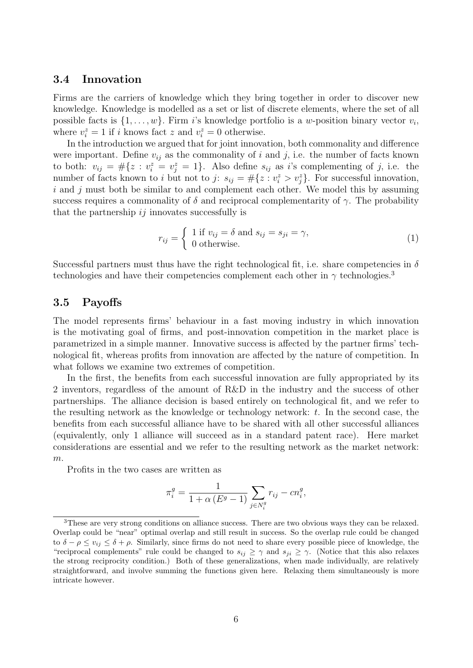#### 3.4 Innovation

Firms are the carriers of knowledge which they bring together in order to discover new knowledge. Knowledge is modelled as a set or list of discrete elements, where the set of all possible facts is  $\{1, \ldots, w\}$ . Firm *i*'s knowledge portfolio is a *w*-position binary vector  $v_i$ , where  $v_i^z = 1$  if i knows fact z and  $v_i^z = 0$  otherwise.

In the introduction we argued that for joint innovation, both commonality and difference were important. Define  $v_{ij}$  as the commonality of i and j, i.e. the number of facts known to both:  $v_{ij} = \#\{z : v_i^z = v_j^z = 1\}$ . Also define  $s_{ij}$  as i's complementing of j, i.e. the number of facts known to *i* but not to *j*:  $s_{ij} = #\{z : v_i^z > v_j^z\}$ . For successful innovation,  $i$  and  $j$  must both be similar to and complement each other. We model this by assuming success requires a commonality of  $\delta$  and reciprocal complementarity of  $\gamma$ . The probability that the partnership  $ij$  innovates successfully is

$$
r_{ij} = \begin{cases} 1 \text{ if } v_{ij} = \delta \text{ and } s_{ij} = s_{ji} = \gamma, \\ 0 \text{ otherwise.} \end{cases}
$$
 (1)

Successful partners must thus have the right technological fit, i.e. share competencies in  $\delta$ technologies and have their competencies complement each other in  $\gamma$  technologies.<sup>3</sup>

#### 3.5 Payoffs

The model represents firms' behaviour in a fast moving industry in which innovation is the motivating goal of firms, and post-innovation competition in the market place is parametrized in a simple manner. Innovative success is affected by the partner firms' technological fit, whereas profits from innovation are affected by the nature of competition. In what follows we examine two extremes of competition.

In the first, the benefits from each successful innovation are fully appropriated by its 2 inventors, regardless of the amount of R&D in the industry and the success of other partnerships. The alliance decision is based entirely on technological fit, and we refer to the resulting network as the knowledge or technology network:  $t$ . In the second case, the benefits from each successful alliance have to be shared with all other successful alliances (equivalently, only 1 alliance will succeed as in a standard patent race). Here market considerations are essential and we refer to the resulting network as the market network: m.

Profits in the two cases are written as

$$
\pi_i^g = \frac{1}{1 + \alpha (E^g - 1)} \sum_{j \in N_i^g} r_{ij} - cn_i^g,
$$

<sup>3</sup>These are very strong conditions on alliance success. There are two obvious ways they can be relaxed. Overlap could be "near" optimal overlap and still result in success. So the overlap rule could be changed to  $\delta - \rho \le v_{ij} \le \delta + \rho$ . Similarly, since firms do not need to share every possible piece of knowledge, the "reciprocal complements" rule could be changed to  $s_{ij} \geq \gamma$  and  $s_{ji} \geq \gamma$ . (Notice that this also relaxes the strong reciprocity condition.) Both of these generalizations, when made individually, are relatively straightforward, and involve summing the functions given here. Relaxing them simultaneously is more intricate however.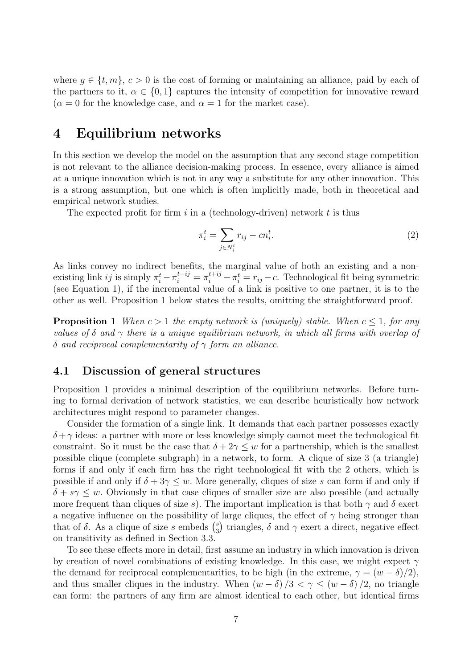where  $g \in \{t, m\}, c > 0$  is the cost of forming or maintaining an alliance, paid by each of the partners to it,  $\alpha \in \{0,1\}$  captures the intensity of competition for innovative reward  $(\alpha = 0$  for the knowledge case, and  $\alpha = 1$  for the market case).

## 4 Equilibrium networks

In this section we develop the model on the assumption that any second stage competition is not relevant to the alliance decision-making process. In essence, every alliance is aimed at a unique innovation which is not in any way a substitute for any other innovation. This is a strong assumption, but one which is often implicitly made, both in theoretical and empirical network studies.

The expected profit for firm i in a (technology-driven) network t is thus

$$
\pi_i^t = \sum_{j \in N_i^t} r_{ij} - cn_i^t. \tag{2}
$$

As links convey no indirect benefits, the marginal value of both an existing and a nonexisting link *ij* is simply  $\pi_i^t - \pi_i^{t+ij} = \pi_i^{t+ij} - \pi_i^t = r_{ij} - c$ . Technological fit being symmetric (see Equation 1), if the incremental value of a link is positive to one partner, it is to the other as well. Proposition 1 below states the results, omitting the straightforward proof.

**Proposition 1** When  $c > 1$  the empty network is (uniquely) stable. When  $c \leq 1$ , for any values of  $\delta$  and  $\gamma$  there is a unique equilibrium network, in which all firms with overlap of δ and reciprocal complementarity of  $γ$  form an alliance.

## 4.1 Discussion of general structures

Proposition 1 provides a minimal description of the equilibrium networks. Before turning to formal derivation of network statistics, we can describe heuristically how network architectures might respond to parameter changes.

Consider the formation of a single link. It demands that each partner possesses exactly  $\delta + \gamma$  ideas: a partner with more or less knowledge simply cannot meet the technological fit constraint. So it must be the case that  $\delta + 2\gamma \leq w$  for a partnership, which is the smallest possible clique (complete subgraph) in a network, to form. A clique of size 3 (a triangle) forms if and only if each firm has the right technological fit with the 2 others, which is possible if and only if  $\delta + 3\gamma \leq w$ . More generally, cliques of size s can form if and only if  $\delta + s\gamma \leq w$ . Obviously in that case cliques of smaller size are also possible (and actually more frequent than cliques of size s). The important implication is that both  $\gamma$  and  $\delta$  exert a negative influence on the possibility of large cliques, the effect of  $\gamma$  being stronger than that of  $\delta$ . As a clique of size s embeds  $\binom{s}{3}$  $_3^s$ ) triangles,  $\delta$  and  $\gamma$  exert a direct, negative effect on transitivity as defined in Section 3.3.

To see these effects more in detail, first assume an industry in which innovation is driven by creation of novel combinations of existing knowledge. In this case, we might expect  $\gamma$ the demand for reciprocal complementarities, to be high (in the extreme,  $\gamma = (w - \delta)/2$ ), and thus smaller cliques in the industry. When  $(w - \delta)/3 < \gamma \le (w - \delta)/2$ , no triangle can form: the partners of any firm are almost identical to each other, but identical firms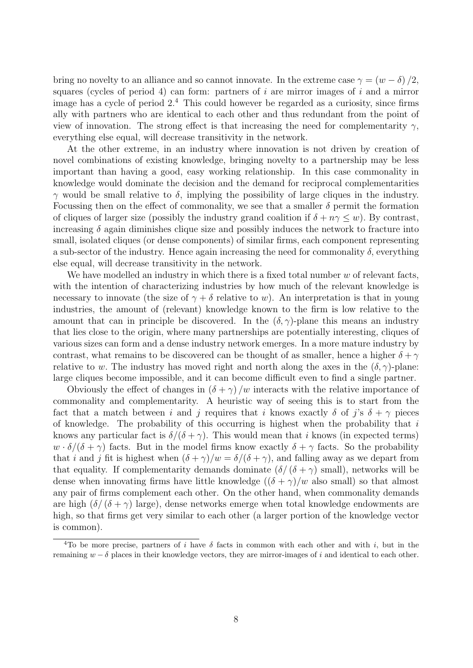bring no novelty to an alliance and so cannot innovate. In the extreme case  $\gamma = (w - \delta)/2$ , squares (cycles of period 4) can form: partners of  $i$  are mirror images of  $i$  and a mirror image has a cycle of period  $2<sup>4</sup>$ . This could however be regarded as a curiosity, since firms ally with partners who are identical to each other and thus redundant from the point of view of innovation. The strong effect is that increasing the need for complementarity  $\gamma$ , everything else equal, will decrease transitivity in the network.

At the other extreme, in an industry where innovation is not driven by creation of novel combinations of existing knowledge, bringing novelty to a partnership may be less important than having a good, easy working relationship. In this case commonality in knowledge would dominate the decision and the demand for reciprocal complementarities  $γ$  would be small relative to δ, implying the possibility of large cliques in the industry. Focussing then on the effect of commonality, we see that a smaller  $\delta$  permit the formation of cliques of larger size (possibly the industry grand coalition if  $\delta + n\gamma \leq w$ ). By contrast, increasing  $\delta$  again diminishes clique size and possibly induces the network to fracture into small, isolated cliques (or dense components) of similar firms, each component representing a sub-sector of the industry. Hence again increasing the need for commonality  $\delta$ , everything else equal, will decrease transitivity in the network.

We have modelled an industry in which there is a fixed total number  $w$  of relevant facts, with the intention of characterizing industries by how much of the relevant knowledge is necessary to innovate (the size of  $\gamma + \delta$  relative to w). An interpretation is that in young industries, the amount of (relevant) knowledge known to the firm is low relative to the amount that can in principle be discovered. In the  $(\delta, \gamma)$ -plane this means an industry that lies close to the origin, where many partnerships are potentially interesting, cliques of various sizes can form and a dense industry network emerges. In a more mature industry by contrast, what remains to be discovered can be thought of as smaller, hence a higher  $\delta + \gamma$ relative to w. The industry has moved right and north along the axes in the  $(\delta, \gamma)$ -plane: large cliques become impossible, and it can become difficult even to find a single partner.

Obviously the effect of changes in  $(\delta + \gamma)$  /w interacts with the relative importance of commonality and complementarity. A heuristic way of seeing this is to start from the fact that a match between i and j requires that i knows exactly  $\delta$  of j's  $\delta + \gamma$  pieces of knowledge. The probability of this occurring is highest when the probability that  $i$ knows any particular fact is  $\delta/(\delta + \gamma)$ . This would mean that i knows (in expected terms)  $w \cdot \delta/(\delta + \gamma)$  facts. But in the model firms know exactly  $\delta + \gamma$  facts. So the probability that i and j fit is highest when  $(\delta + \gamma)/w = \delta/(\delta + \gamma)$ , and falling away as we depart from that equality. If complementarity demands dominate  $(\delta/(\delta + \gamma)$  small), networks will be dense when innovating firms have little knowledge  $((\delta + \gamma)/w$  also small) so that almost any pair of firms complement each other. On the other hand, when commonality demands are high  $(\delta/(\delta + \gamma)$  large), dense networks emerge when total knowledge endowments are high, so that firms get very similar to each other (a larger portion of the knowledge vector is common).

<sup>&</sup>lt;sup>4</sup>To be more precise, partners of i have  $\delta$  facts in common with each other and with i, but in the remaining  $w - \delta$  places in their knowledge vectors, they are mirror-images of i and identical to each other.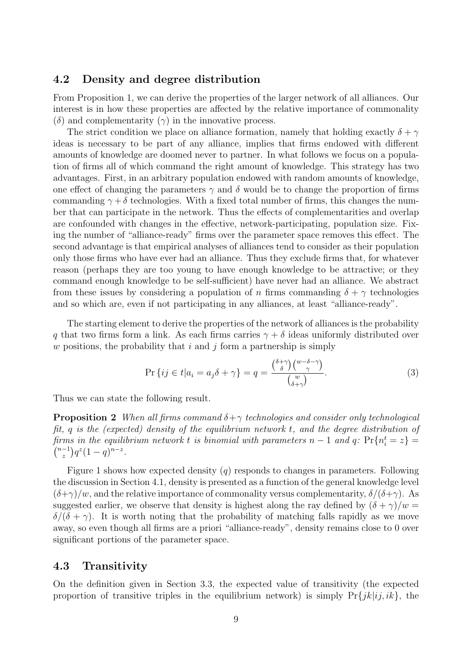### 4.2 Density and degree distribution

From Proposition 1, we can derive the properties of the larger network of all alliances. Our interest is in how these properties are affected by the relative importance of commonality (δ) and complementarity  $(\gamma)$  in the innovative process.

The strict condition we place on alliance formation, namely that holding exactly  $\delta + \gamma$ ideas is necessary to be part of any alliance, implies that firms endowed with different amounts of knowledge are doomed never to partner. In what follows we focus on a population of firms all of which command the right amount of knowledge. This strategy has two advantages. First, in an arbitrary population endowed with random amounts of knowledge, one effect of changing the parameters  $\gamma$  and  $\delta$  would be to change the proportion of firms commanding  $\gamma + \delta$  technologies. With a fixed total number of firms, this changes the number that can participate in the network. Thus the effects of complementarities and overlap are confounded with changes in the effective, network-participating, population size. Fixing the number of "alliance-ready" firms over the parameter space removes this effect. The second advantage is that empirical analyses of alliances tend to consider as their population only those firms who have ever had an alliance. Thus they exclude firms that, for whatever reason (perhaps they are too young to have enough knowledge to be attractive; or they command enough knowledge to be self-sufficient) have never had an alliance. We abstract from these issues by considering a population of n firms commanding  $\delta + \gamma$  technologies and so which are, even if not participating in any alliances, at least "alliance-ready".

The starting element to derive the properties of the network of alliances is the probability q that two firms form a link. As each firms carries  $\gamma + \delta$  ideas uniformly distributed over w positions, the probability that i and j form a partnership is simply

$$
\Pr\left\{ij \in t | a_i = a_j \delta + \gamma\right\} = q = \frac{\binom{\delta + \gamma}{\delta} \binom{w - \delta - \gamma}{\gamma}}{\binom{w}{\delta + \gamma}}.\tag{3}
$$

Thus we can state the following result.

**Proposition 2** When all firms command  $\delta + \gamma$  technologies and consider only technological fit, q is the (expected) density of the equilibrium network t, and the degree distribution of firms in the equilibrium network t is binomial with parameters  $n-1$  and  $q$ :  $Pr{n_i^t = z} =$  ${n-1 \choose 0} q^z (1-q)^{n-z}$ .  $n-1$  $\int_{z}^{-1}$ )  $q^{z}(1-q)^{n-z}$ .

Figure 1 shows how expected density  $(q)$  responds to changes in parameters. Following the discussion in Section 4.1, density is presented as a function of the general knowledge level  $(\delta+\gamma)/w$ , and the relative importance of commonality versus complementarity,  $\delta/(\delta+\gamma)$ . As suggested earlier, we observe that density is highest along the ray defined by  $(\delta + \gamma)/w =$  $\delta/(\delta + \gamma)$ . It is worth noting that the probability of matching falls rapidly as we move away, so even though all firms are a priori "alliance-ready", density remains close to 0 over significant portions of the parameter space.

### 4.3 Transitivity

On the definition given in Section 3.3, the expected value of transitivity (the expected proportion of transitive triples in the equilibrium network) is simply  $Pr\{jk|ij, ik\}$ , the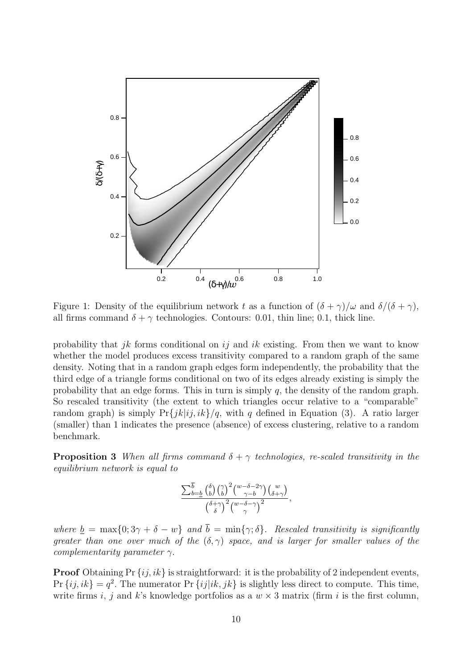

Figure 1: Density of the equilibrium network t as a function of  $(\delta + \gamma)/\omega$  and  $\delta/(\delta + \gamma)$ , all firms command  $\delta + \gamma$  technologies. Contours: 0.01, thin line; 0.1, thick line.

probability that *ik* forms conditional on *ij* and *ik* existing. From then we want to know whether the model produces excess transitivity compared to a random graph of the same density. Noting that in a random graph edges form independently, the probability that the third edge of a triangle forms conditional on two of its edges already existing is simply the probability that an edge forms. This in turn is simply  $q$ , the density of the random graph. So rescaled transitivity (the extent to which triangles occur relative to a "comparable" random graph) is simply  $Pr\{jk|ij, ik\}/q$ , with q defined in Equation (3). A ratio larger (smaller) than 1 indicates the presence (absence) of excess clustering, relative to a random benchmark.

**Proposition 3** When all firms command  $\delta + \gamma$  technologies, re-scaled transitivity in the equilibrium network is equal to

$$
\frac{\sum_{b=b}^{\overline{b}}\binom{\delta}{b}\binom{\gamma}{b}^2\binom{w-\delta-2\gamma}{\gamma-b}\binom{w}{\delta+\gamma}}{\binom{\delta+\gamma}{\delta}\binom{w-\delta-\gamma}{\gamma}^2},
$$

where  $\underline{b} = \max\{0; 3\gamma + \delta - w\}$  and  $\overline{b} = \min\{\gamma; \delta\}$ . Rescaled transitivity is significantly greater than one over much of the  $(\delta, \gamma)$  space, and is larger for smaller values of the complementarity parameter  $\gamma$ .

**Proof** Obtaining Pr  $\{ij, ik\}$  is straightforward: it is the probability of 2 independent events,  $\Pr\{ij, ik\} = q^2$ . The numerator  $\Pr\{ij|ik, jk\}$  is slightly less direct to compute. This time, write firms i, j and k's knowledge portfolios as a  $w \times 3$  matrix (firm i is the first column,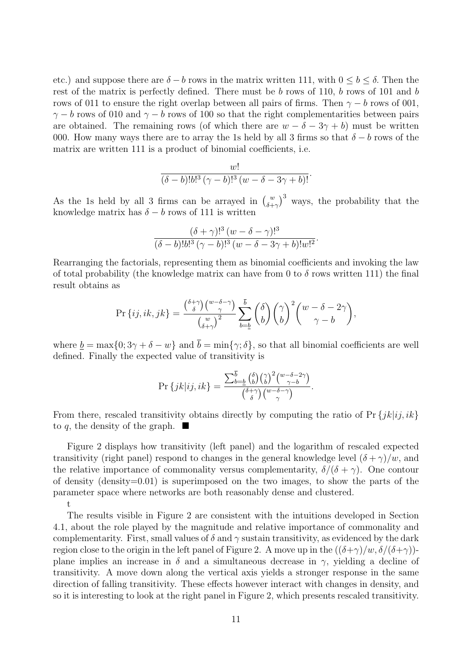etc.) and suppose there are  $\delta - b$  rows in the matrix written 111, with  $0 \leq b \leq \delta$ . Then the rest of the matrix is perfectly defined. There must be b rows of 110, b rows of 101 and b rows of 011 to ensure the right overlap between all pairs of firms. Then  $\gamma - b$  rows of 001,  $\gamma - b$  rows of 010 and  $\gamma - b$  rows of 100 so that the right complementarities between pairs are obtained. The remaining rows (of which there are  $w - \delta - 3\gamma + b$ ) must be written 000. How many ways there are to array the 1s held by all 3 firms so that  $\delta - b$  rows of the matrix are written 111 is a product of binomial coefficients, i.e.

$$
\frac{w!}{(\delta-b)!b!^3(\gamma-b)!^3(w-\delta-3\gamma+b)!}.
$$

As the 1s held by all 3 firms can be arrayed in  $\binom{w}{\delta+\gamma}^3$  ways, the probability that the knowledge matrix has  $\delta - b$  rows of 111 is written

$$
\frac{(\delta + \gamma)!^3 (w - \delta - \gamma)!^3}{(\delta - b)!b!^3 (\gamma - b)!^3 (w - \delta - 3\gamma + b)!w!^2}.
$$

Rearranging the factorials, representing them as binomial coefficients and invoking the law of total probability (the knowledge matrix can have from 0 to  $\delta$  rows written 111) the final result obtains as

$$
\Pr\left\{ij, ik, jk\right\} = \frac{\binom{\delta + \gamma}{\delta}\binom{w - \delta - \gamma}{\gamma}}{\binom{w}{\delta + \gamma}^2} \sum_{b = \underline{b}}^{\overline{b}} \binom{\delta}{b} \binom{\gamma}{b}^2 \binom{w - \delta - 2\gamma}{\gamma - b},
$$

where  $b = \max\{0; 3\gamma + \delta - w\}$  and  $\overline{b} = \min\{\gamma; \delta\}$ , so that all binomial coefficients are well defined. Finally the expected value of transitivity is

$$
\Pr\left\{jk\big|ij, ik\right\} = \frac{\sum_{b=b}^{\overline{b}} \binom{\delta}{b} \binom{\gamma}{b}^2 \binom{w-\delta-2\gamma}{\gamma-b}}{\binom{\delta+\gamma}{\delta} \binom{w-\delta-\gamma}{\gamma}}.
$$

From there, rescaled transitivity obtains directly by computing the ratio of  $\Pr\{ik|i; ik\}$ to q, the density of the graph.  $\blacksquare$ 

Figure 2 displays how transitivity (left panel) and the logarithm of rescaled expected transitivity (right panel) respond to changes in the general knowledge level  $(\delta + \gamma)/w$ , and the relative importance of commonality versus complementarity,  $\delta/(\delta + \gamma)$ . One contour of density  $(density=0.01)$  is superimposed on the two images, to show the parts of the parameter space where networks are both reasonably dense and clustered.

t

The results visible in Figure 2 are consistent with the intuitions developed in Section 4.1, about the role played by the magnitude and relative importance of commonality and complementarity. First, small values of  $\delta$  and  $\gamma$  sustain transitivity, as evidenced by the dark region close to the origin in the left panel of Figure 2. A move up in the  $((\delta+\gamma)/w, \delta/(\delta+\gamma))$ plane implies an increase in  $\delta$  and a simultaneous decrease in  $\gamma$ , yielding a decline of transitivity. A move down along the vertical axis yields a stronger response in the same direction of falling transitivity. These effects however interact with changes in density, and so it is interesting to look at the right panel in Figure 2, which presents rescaled transitivity.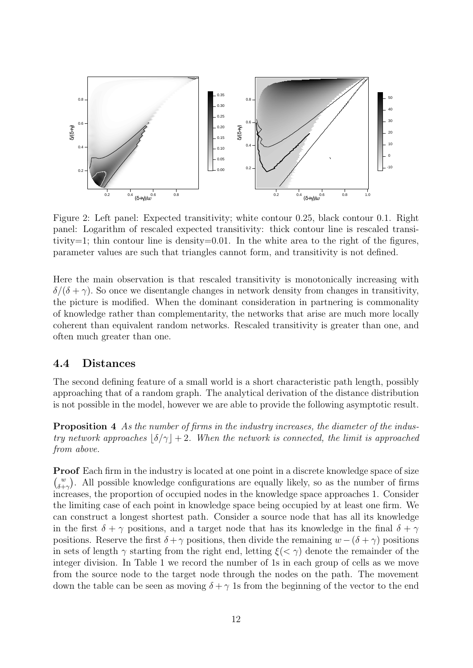

Figure 2: Left panel: Expected transitivity; white contour 0.25, black contour 0.1. Right panel: Logarithm of rescaled expected transitivity: thick contour line is rescaled transitivity=1; thin contour line is density=0.01. In the white area to the right of the figures, parameter values are such that triangles cannot form, and transitivity is not defined.

Here the main observation is that rescaled transitivity is monotonically increasing with  $\delta/(\delta + \gamma)$ . So once we disentangle changes in network density from changes in transitivity, the picture is modified. When the dominant consideration in partnering is commonality of knowledge rather than complementarity, the networks that arise are much more locally coherent than equivalent random networks. Rescaled transitivity is greater than one, and often much greater than one.

## 4.4 Distances

The second defining feature of a small world is a short characteristic path length, possibly approaching that of a random graph. The analytical derivation of the distance distribution is not possible in the model, however we are able to provide the following asymptotic result.

Proposition 4 As the number of firms in the industry increases, the diameter of the industry network approaches  $|\delta/\gamma|+2$ . When the network is connected, the limit is approached from above.

**Proof** Each firm in the industry is located at one point in a discrete knowledge space of size  $\binom{w}{\delta + \gamma}$ . All possible knowledge configurations are equally likely, so as the number of firms increases, the proportion of occupied nodes in the knowledge space approaches 1. Consider the limiting case of each point in knowledge space being occupied by at least one firm. We can construct a longest shortest path. Consider a source node that has all its knowledge in the first  $\delta + \gamma$  positions, and a target node that has its knowledge in the final  $\delta + \gamma$ positions. Reserve the first  $\delta + \gamma$  positions, then divide the remaining  $w - (\delta + \gamma)$  positions in sets of length  $\gamma$  starting from the right end, letting  $\xi(\langle \gamma \rangle)$  denote the remainder of the integer division. In Table 1 we record the number of 1s in each group of cells as we move from the source node to the target node through the nodes on the path. The movement down the table can be seen as moving  $\delta + \gamma$  1s from the beginning of the vector to the end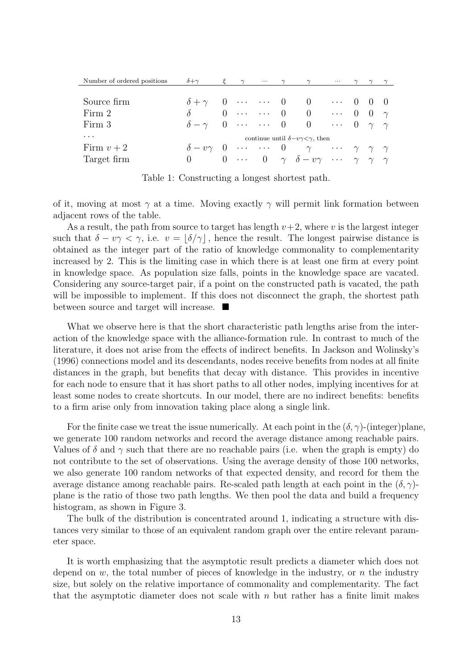| Number of ordered positions | $\delta + \gamma$                                                |  | $\gamma$ |  | $\gamma$ | $\gamma$                                                                       | $\cdots$ |  |  |  |
|-----------------------------|------------------------------------------------------------------|--|----------|--|----------|--------------------------------------------------------------------------------|----------|--|--|--|
|                             |                                                                  |  |          |  |          |                                                                                |          |  |  |  |
| Source firm                 |                                                                  |  |          |  |          | $\delta + \gamma = 0$ 0 0  0 0 0                                               |          |  |  |  |
| Firm 2                      | $\delta$ and $\delta$                                            |  |          |  |          | $0 \cdots \cdots 0 \quad 0 \quad \cdots \quad 0 \quad \gamma$                  |          |  |  |  |
| Firm 3                      |                                                                  |  |          |  |          | $\delta - \gamma = 0$ 0 0  0 $\gamma$ $\gamma$                                 |          |  |  |  |
| $\cdot$                     | continue until $\delta - v \gamma \langle \gamma \rangle$ , then |  |          |  |          |                                                                                |          |  |  |  |
| Firm $v+2$                  |                                                                  |  |          |  |          | $\delta - v\gamma$ 0   0 $\gamma$ $\gamma$ $\gamma$ $\gamma$                   |          |  |  |  |
| Target firm                 |                                                                  |  |          |  |          | 0 0 $\cdots$ 0 $\gamma$ $\delta - v\gamma$ $\cdots$ $\gamma$ $\gamma$ $\gamma$ |          |  |  |  |

Table 1: Constructing a longest shortest path.

of it, moving at most  $\gamma$  at a time. Moving exactly  $\gamma$  will permit link formation between adjacent rows of the table.

As a result, the path from source to target has length  $v+2$ , where v is the largest integer such that  $\delta - v\gamma < \gamma$ , i.e.  $v = |\delta/\gamma|$ , hence the result. The longest pairwise distance is obtained as the integer part of the ratio of knowledge commonality to complementarity increased by 2. This is the limiting case in which there is at least one firm at every point in knowledge space. As population size falls, points in the knowledge space are vacated. Considering any source-target pair, if a point on the constructed path is vacated, the path will be impossible to implement. If this does not disconnect the graph, the shortest path between source and target will increase.

What we observe here is that the short characteristic path lengths arise from the interaction of the knowledge space with the alliance-formation rule. In contrast to much of the literature, it does not arise from the effects of indirect benefits. In Jackson and Wolinsky's (1996) connections model and its descendants, nodes receive benefits from nodes at all finite distances in the graph, but benefits that decay with distance. This provides in incentive for each node to ensure that it has short paths to all other nodes, implying incentives for at least some nodes to create shortcuts. In our model, there are no indirect benefits: benefits to a firm arise only from innovation taking place along a single link.

For the finite case we treat the issue numerically. At each point in the  $(\delta, \gamma)$ -(integer)plane, we generate 100 random networks and record the average distance among reachable pairs. Values of  $\delta$  and  $\gamma$  such that there are no reachable pairs (i.e. when the graph is empty) do not contribute to the set of observations. Using the average density of those 100 networks, we also generate 100 random networks of that expected density, and record for them the average distance among reachable pairs. Re-scaled path length at each point in the  $(\delta, \gamma)$ plane is the ratio of those two path lengths. We then pool the data and build a frequency histogram, as shown in Figure 3.

The bulk of the distribution is concentrated around 1, indicating a structure with distances very similar to those of an equivalent random graph over the entire relevant parameter space.

It is worth emphasizing that the asymptotic result predicts a diameter which does not depend on  $w$ , the total number of pieces of knowledge in the industry, or  $n$  the industry size, but solely on the relative importance of commonality and complementarity. The fact that the asymptotic diameter does not scale with  $n$  but rather has a finite limit makes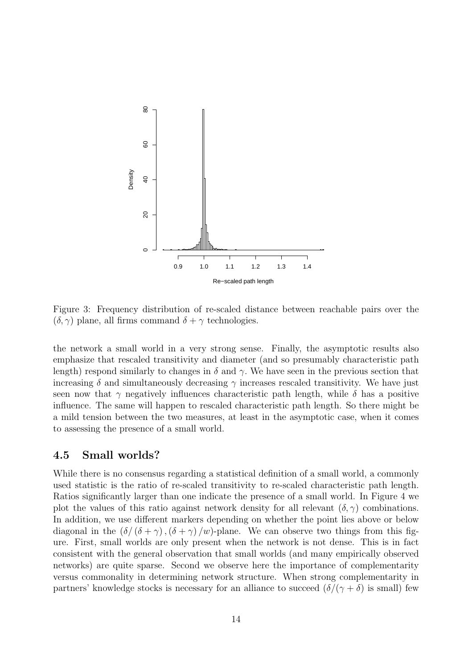

Figure 3: Frequency distribution of re-scaled distance between reachable pairs over the  $(\delta, \gamma)$  plane, all firms command  $\delta + \gamma$  technologies.

the network a small world in a very strong sense. Finally, the asymptotic results also emphasize that rescaled transitivity and diameter (and so presumably characteristic path length) respond similarly to changes in  $\delta$  and  $\gamma$ . We have seen in the previous section that increasing  $\delta$  and simultaneously decreasing  $\gamma$  increases rescaled transitivity. We have just seen now that  $\gamma$  negatively influences characteristic path length, while  $\delta$  has a positive influence. The same will happen to rescaled characteristic path length. So there might be a mild tension between the two measures, at least in the asymptotic case, when it comes to assessing the presence of a small world.

## 4.5 Small worlds?

While there is no consensus regarding a statistical definition of a small world, a commonly used statistic is the ratio of re-scaled transitivity to re-scaled characteristic path length. Ratios significantly larger than one indicate the presence of a small world. In Figure 4 we plot the values of this ratio against network density for all relevant  $(\delta, \gamma)$  combinations. In addition, we use different markers depending on whether the point lies above or below diagonal in the  $(\delta/(\delta + \gamma), (\delta + \gamma)/w)$ -plane. We can observe two things from this figure. First, small worlds are only present when the network is not dense. This is in fact consistent with the general observation that small worlds (and many empirically observed networks) are quite sparse. Second we observe here the importance of complementarity versus commonality in determining network structure. When strong complementarity in partners' knowledge stocks is necessary for an alliance to succeed  $(\delta/(\gamma + \delta))$  is small) few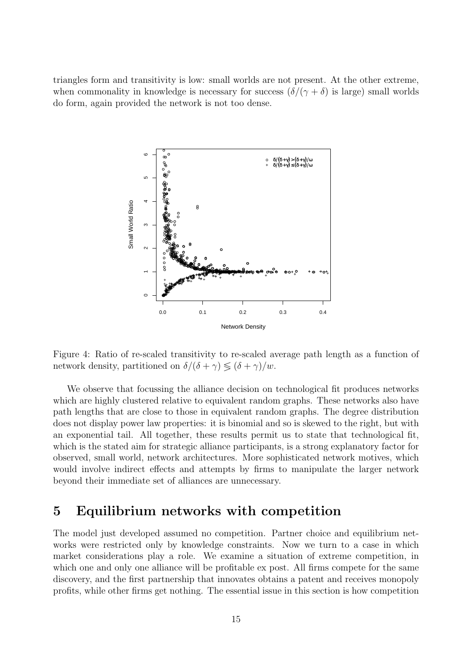triangles form and transitivity is low: small worlds are not present. At the other extreme, when commonality in knowledge is necessary for success  $(\delta/(\gamma + \delta)$  is large) small worlds do form, again provided the network is not too dense.



Figure 4: Ratio of re-scaled transitivity to re-scaled average path length as a function of network density, partitioned on  $\delta/(\delta + \gamma) \lessgtr (\delta + \gamma)/w$ .

We observe that focussing the alliance decision on technological fit produces networks which are highly clustered relative to equivalent random graphs. These networks also have path lengths that are close to those in equivalent random graphs. The degree distribution does not display power law properties: it is binomial and so is skewed to the right, but with an exponential tail. All together, these results permit us to state that technological fit, which is the stated aim for strategic alliance participants, is a strong explanatory factor for observed, small world, network architectures. More sophisticated network motives, which would involve indirect effects and attempts by firms to manipulate the larger network beyond their immediate set of alliances are unnecessary.

## 5 Equilibrium networks with competition

The model just developed assumed no competition. Partner choice and equilibrium networks were restricted only by knowledge constraints. Now we turn to a case in which market considerations play a role. We examine a situation of extreme competition, in which one and only one alliance will be profitable ex post. All firms compete for the same discovery, and the first partnership that innovates obtains a patent and receives monopoly profits, while other firms get nothing. The essential issue in this section is how competition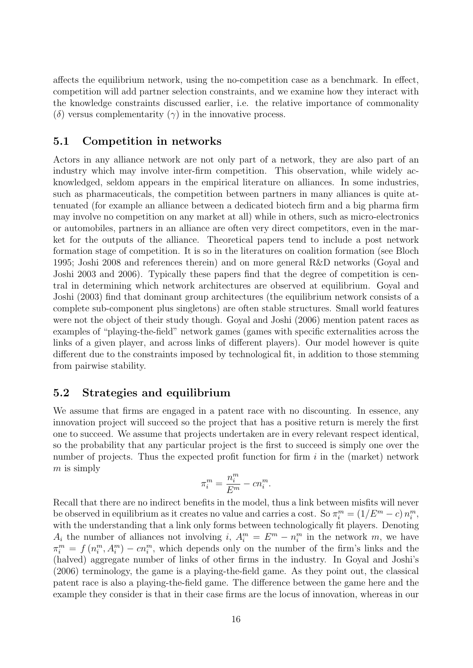affects the equilibrium network, using the no-competition case as a benchmark. In effect, competition will add partner selection constraints, and we examine how they interact with the knowledge constraints discussed earlier, i.e. the relative importance of commonality (δ) versus complementarity  $(\gamma)$  in the innovative process.

## 5.1 Competition in networks

Actors in any alliance network are not only part of a network, they are also part of an industry which may involve inter-firm competition. This observation, while widely acknowledged, seldom appears in the empirical literature on alliances. In some industries, such as pharmaceuticals, the competition between partners in many alliances is quite attenuated (for example an alliance between a dedicated biotech firm and a big pharma firm may involve no competition on any market at all) while in others, such as micro-electronics or automobiles, partners in an alliance are often very direct competitors, even in the market for the outputs of the alliance. Theoretical papers tend to include a post network formation stage of competition. It is so in the literatures on coalition formation (see Bloch 1995; Joshi 2008 and references therein) and on more general R&D networks (Goyal and Joshi 2003 and 2006). Typically these papers find that the degree of competition is central in determining which network architectures are observed at equilibrium. Goyal and Joshi (2003) find that dominant group architectures (the equilibrium network consists of a complete sub-component plus singletons) are often stable structures. Small world features were not the object of their study though. Goyal and Joshi (2006) mention patent races as examples of "playing-the-field" network games (games with specific externalities across the links of a given player, and across links of different players). Our model however is quite different due to the constraints imposed by technological fit, in addition to those stemming from pairwise stability.

## 5.2 Strategies and equilibrium

We assume that firms are engaged in a patent race with no discounting. In essence, any innovation project will succeed so the project that has a positive return is merely the first one to succeed. We assume that projects undertaken are in every relevant respect identical, so the probability that any particular project is the first to succeed is simply one over the number of projects. Thus the expected profit function for firm  $i$  in the (market) network  $m$  is simply

$$
\pi_i^m = \frac{n_i^m}{E^m} - cn_i^m.
$$

Recall that there are no indirect benefits in the model, thus a link between misfits will never be observed in equilibrium as it creates no value and carries a cost. So  $\pi_i^m = (1/E^m - c) n_i^m$ , with the understanding that a link only forms between technologically fit players. Denoting  $A_i$  the number of alliances not involving i,  $A_i^m = E^m - n_i^m$  in the network m, we have  $\pi_i^m = f(n_i^m, A_i^m) - cn_i^m$ , which depends only on the number of the firm's links and the (halved) aggregate number of links of other firms in the industry. In Goyal and Joshi's (2006) terminology, the game is a playing-the-field game. As they point out, the classical patent race is also a playing-the-field game. The difference between the game here and the example they consider is that in their case firms are the locus of innovation, whereas in our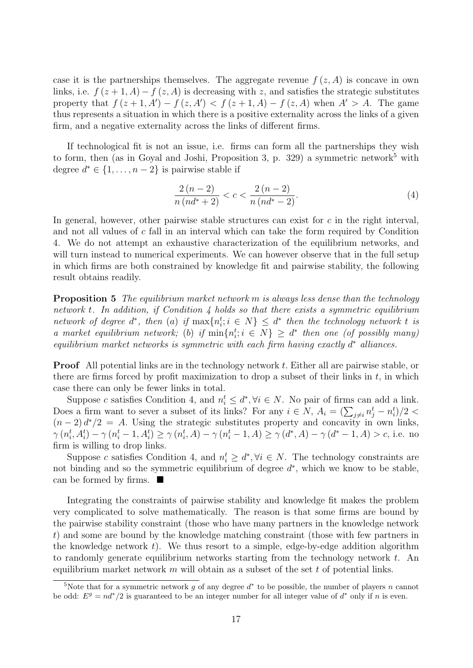case it is the partnerships themselves. The aggregate revenue  $f(z, A)$  is concave in own links, i.e.  $f(z+1, A) - f(z, A)$  is decreasing with z, and satisfies the strategic substitutes property that  $f(z+1, A') - f(z, A') < f(z+1, A) - f(z, A)$  when  $A' > A$ . The game thus represents a situation in which there is a positive externality across the links of a given firm, and a negative externality across the links of different firms.

If technological fit is not an issue, i.e. firms can form all the partnerships they wish to form, then (as in Goyal and Joshi, Proposition 3, p. 329) a symmetric network<sup>5</sup> with degree  $d^* \in \{1, \ldots, n-2\}$  is pairwise stable if

$$
\frac{2(n-2)}{n\left(nd^*+2\right)} < c < \frac{2\left(n-2\right)}{n\left(nd^*-2\right)}.\tag{4}
$$

In general, however, other pairwise stable structures can exist for  $c$  in the right interval, and not all values of c fall in an interval which can take the form required by Condition 4. We do not attempt an exhaustive characterization of the equilibrium networks, and will turn instead to numerical experiments. We can however observe that in the full setup in which firms are both constrained by knowledge fit and pairwise stability, the following result obtains readily.

**Proposition 5** The equilibrium market network m is always less dense than the technology network t. In addition, if Condition  $\lambda$  holds so that there exists a symmetric equilibrium network of degree  $d^*$ , then (a) if  $\max\{n_i^t; i \in N\} \leq d^*$  then the technology network t is a market equilibrium network; (b) if  $\min\{n_i^t; i \in N\} \geq d^*$  then one (of possibly many)  $equilibrium$  market networks is symmetric with each firm having exactly  $d^*$  alliances.

Proof All potential links are in the technology network t. Either all are pairwise stable, or there are firms forced by profit maximization to drop a subset of their links in  $t$ , in which case there can only be fewer links in total.

Suppose c satisfies Condition 4, and  $n_i^t \leq d^*$ ,  $\forall i \in N$ . No pair of firms can add a link. Does a firm want to sever a subset of its links? For any  $i \in N$ ,  $A_i = \left(\sum_{j \neq i} n_j^t - n_i^t\right)/2$  $(n-2)d^{*}/2 = A$ . Using the strategic substitutes property and concavity in own links,  $\gamma(n_i^t, A_i^t) - \gamma(n_i^t - 1, A_i^t) \ge \gamma(n_i^t, A) - \gamma(n_i^t - 1, A) \ge \gamma(d^*, A) - \gamma(d^* - 1, A) > c$ , i.e. no firm is willing to drop links.

Suppose c satisfies Condition 4, and  $n_i^t \geq d^*$ ,  $\forall i \in N$ . The technology constraints are not binding and so the symmetric equilibrium of degree  $d^*$ , which we know to be stable, can be formed by firms.  $\blacksquare$ 

Integrating the constraints of pairwise stability and knowledge fit makes the problem very complicated to solve mathematically. The reason is that some firms are bound by the pairwise stability constraint (those who have many partners in the knowledge network t) and some are bound by the knowledge matching constraint (those with few partners in the knowledge network  $t$ ). We thus resort to a simple, edge-by-edge addition algorithm to randomly generate equilibrium networks starting from the technology network t. An equilibrium market network  $m$  will obtain as a subset of the set  $t$  of potential links.

<sup>&</sup>lt;sup>5</sup>Note that for a symmetric network g of any degree  $d^*$  to be possible, the number of players n cannot be odd:  $E^g = nd^*/2$  is guaranteed to be an integer number for all integer value of  $d^*$  only if n is even.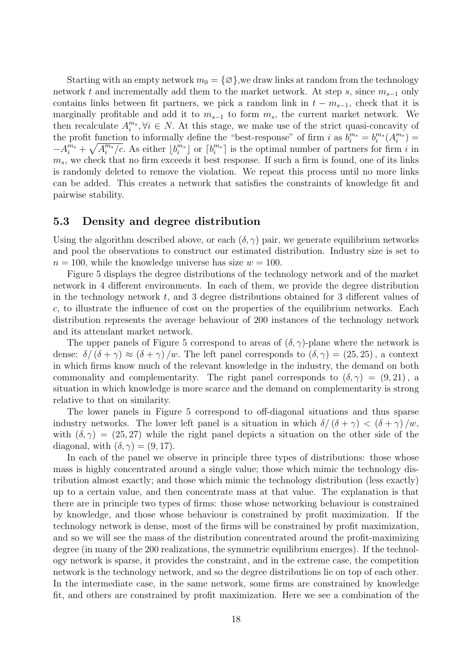Starting with an empty network  $m_0 = \{\varnothing\}$ , we draw links at random from the technology network t and incrementally add them to the market network. At step s, since  $m_{s-1}$  only contains links between fit partners, we pick a random link in  $t - m_{s-1}$ , check that it is marginally profitable and add it to  $m_{s-1}$  to form  $m_s$ , the current market network. We then recalculate  $A_i^{m_s}, \forall i \in N$ . At this stage, we make use of the strict quasi-concavity of the profit function to informally define the "best-response" of firm i as  $b_i^{m_s} = b_i^{m_s}(A_i^{m_s}) =$  $-A_i^{m_s}+\sqrt{A_i^{m_s}/c}$ . As either  $\lfloor b_i^{m_s} \rfloor$  or  $\lceil b_i^{m_s} \rceil$  is the optimal number of partners for firm i in  $m_s$ , we check that no firm exceeds it best response. If such a firm is found, one of its links is randomly deleted to remove the violation. We repeat this process until no more links can be added. This creates a network that satisfies the constraints of knowledge fit and pairwise stability.

#### 5.3 Density and degree distribution

Using the algorithm described above, or each  $(\delta, \gamma)$  pair, we generate equilibrium networks and pool the observations to construct our estimated distribution. Industry size is set to  $n = 100$ , while the knowledge universe has size  $w = 100$ .

Figure 5 displays the degree distributions of the technology network and of the market network in 4 different environments. In each of them, we provide the degree distribution in the technology network  $t$ , and 3 degree distributions obtained for 3 different values of c, to illustrate the influence of cost on the properties of the equilibrium networks. Each distribution represents the average behaviour of 200 instances of the technology network and its attendant market network.

The upper panels of Figure 5 correspond to areas of  $(\delta, \gamma)$ -plane where the network is dense:  $\delta/(\delta + \gamma) \approx (\delta + \gamma)/w$ . The left panel corresponds to  $(\delta, \gamma) = (25, 25)$ , a context in which firms know much of the relevant knowledge in the industry, the demand on both commonality and complementarity. The right panel corresponds to  $(\delta, \gamma) = (9, 21)$ , a situation in which knowledge is more scarce and the demand on complementarity is strong relative to that on similarity.

The lower panels in Figure 5 correspond to off-diagonal situations and thus sparse industry networks. The lower left panel is a situation in which  $\delta/(\delta + \gamma) < (\delta + \gamma)/w$ , with  $(\delta, \gamma) = (25, 27)$  while the right panel depicts a situation on the other side of the diagonal, with  $(\delta, \gamma) = (9, 17)$ .

In each of the panel we observe in principle three types of distributions: those whose mass is highly concentrated around a single value; those which mimic the technology distribution almost exactly; and those which mimic the technology distribution (less exactly) up to a certain value, and then concentrate mass at that value. The explanation is that there are in principle two types of firms: those whose networking behaviour is constrained by knowledge, and those whose behaviour is constrained by profit maximization. If the technology network is dense, most of the firms will be constrained by profit maximization, and so we will see the mass of the distribution concentrated around the profit-maximizing degree (in many of the 200 realizations, the symmetric equilibrium emerges). If the technology network is sparse, it provides the constraint, and in the extreme case, the competition network is the technology network, and so the degree distributions lie on top of each other. In the intermediate case, in the same network, some firms are constrained by knowledge fit, and others are constrained by profit maximization. Here we see a combination of the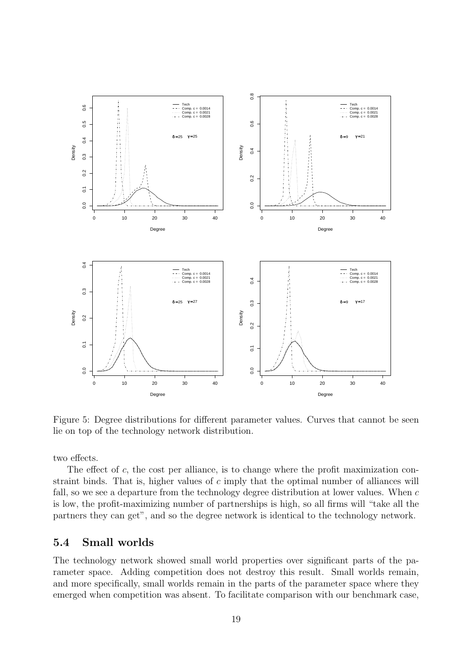

Figure 5: Degree distributions for different parameter values. Curves that cannot be seen lie on top of the technology network distribution.

two effects.

The effect of c, the cost per alliance, is to change where the profit maximization constraint binds. That is, higher values of c imply that the optimal number of alliances will fall, so we see a departure from the technology degree distribution at lower values. When c is low, the profit-maximizing number of partnerships is high, so all firms will "take all the partners they can get", and so the degree network is identical to the technology network.

## 5.4 Small worlds

The technology network showed small world properties over significant parts of the parameter space. Adding competition does not destroy this result. Small worlds remain, and more specifically, small worlds remain in the parts of the parameter space where they emerged when competition was absent. To facilitate comparison with our benchmark case,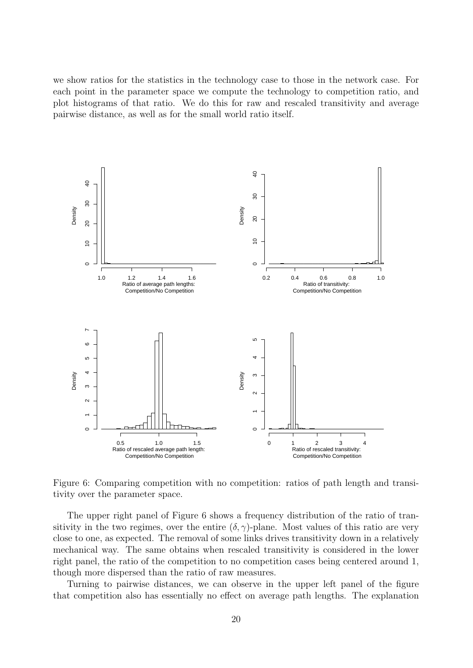we show ratios for the statistics in the technology case to those in the network case. For each point in the parameter space we compute the technology to competition ratio, and plot histograms of that ratio. We do this for raw and rescaled transitivity and average pairwise distance, as well as for the small world ratio itself.



Figure 6: Comparing competition with no competition: ratios of path length and transitivity over the parameter space.

The upper right panel of Figure 6 shows a frequency distribution of the ratio of transitivity in the two regimes, over the entire  $(\delta, \gamma)$ -plane. Most values of this ratio are very close to one, as expected. The removal of some links drives transitivity down in a relatively mechanical way. The same obtains when rescaled transitivity is considered in the lower right panel, the ratio of the competition to no competition cases being centered around 1, though more dispersed than the ratio of raw measures.

Turning to pairwise distances, we can observe in the upper left panel of the figure that competition also has essentially no effect on average path lengths. The explanation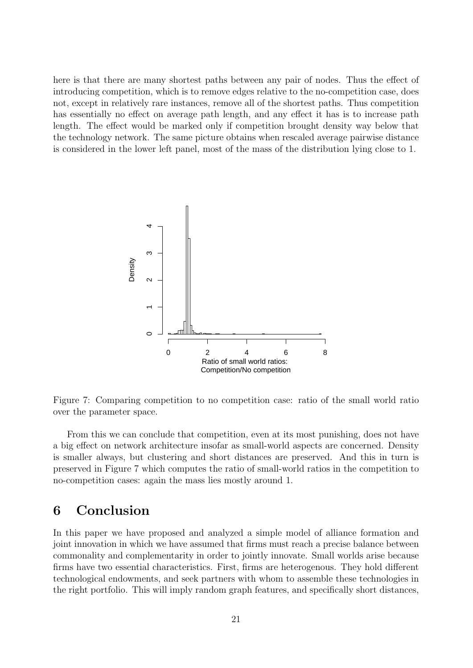here is that there are many shortest paths between any pair of nodes. Thus the effect of introducing competition, which is to remove edges relative to the no-competition case, does not, except in relatively rare instances, remove all of the shortest paths. Thus competition has essentially no effect on average path length, and any effect it has is to increase path length. The effect would be marked only if competition brought density way below that the technology network. The same picture obtains when rescaled average pairwise distance is considered in the lower left panel, most of the mass of the distribution lying close to 1.



Figure 7: Comparing competition to no competition case: ratio of the small world ratio over the parameter space.

From this we can conclude that competition, even at its most punishing, does not have a big effect on network architecture insofar as small-world aspects are concerned. Density is smaller always, but clustering and short distances are preserved. And this in turn is preserved in Figure 7 which computes the ratio of small-world ratios in the competition to no-competition cases: again the mass lies mostly around 1.

## 6 Conclusion

In this paper we have proposed and analyzed a simple model of alliance formation and joint innovation in which we have assumed that firms must reach a precise balance between commonality and complementarity in order to jointly innovate. Small worlds arise because firms have two essential characteristics. First, firms are heterogenous. They hold different technological endowments, and seek partners with whom to assemble these technologies in the right portfolio. This will imply random graph features, and specifically short distances,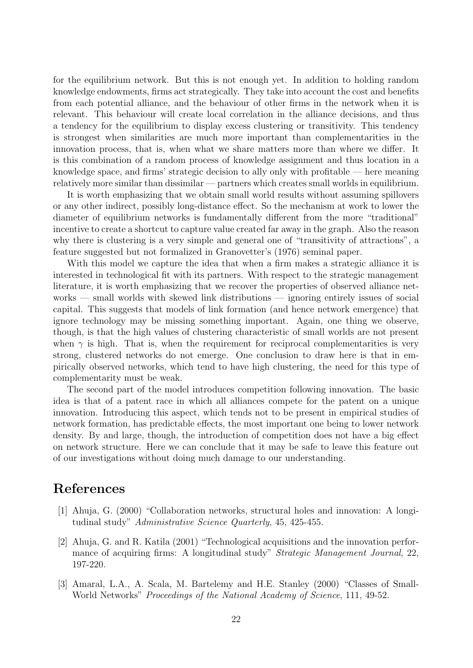for the equilibrium network. But this is not enough yet. In addition to holding random knowledge endowments, firms act strategically. They take into account the cost and benefits from each potential alliance, and the behaviour of other firms in the network when it is relevant. This behaviour will create local correlation in the alliance decisions, and thus a tendency for the equilibrium to display excess clustering or transitivity. This tendency is strongest when similarities are much more important than complementarities in the innovation process, that is, when what we share matters more than where we differ. It is this combination of a random process of knowledge assignment and thus location in a knowledge space, and firms' strategic decision to ally only with profitable — here meaning relatively more similar than dissimilar — partners which creates small worlds in equilibrium.

It is worth emphasizing that we obtain small world results without assuming spillovers or any other indirect, possibly long-distance effect. So the mechanism at work to lower the diameter of equilibrium networks is fundamentally different from the more "traditional" incentive to create a shortcut to capture value created far away in the graph. Also the reason why there is clustering is a very simple and general one of "transitivity of attractions", a feature suggested but not formalized in Granovetter's (1976) seminal paper.

With this model we capture the idea that when a firm makes a strategic alliance it is interested in technological fit with its partners. With respect to the strategic management literature, it is worth emphasizing that we recover the properties of observed alliance networks — small worlds with skewed link distributions — ignoring entirely issues of social capital. This suggests that models of link formation (and hence network emergence) that ignore technology may be missing something important. Again, one thing we observe, though, is that the high values of clustering characteristic of small worlds are not present when  $\gamma$  is high. That is, when the requirement for reciprocal complementarities is very strong, clustered networks do not emerge. One conclusion to draw here is that in empirically observed networks, which tend to have high clustering, the need for this type of complementarity must be weak.

The second part of the model introduces competition following innovation. The basic idea is that of a patent race in which all alliances compete for the patent on a unique innovation. Introducing this aspect, which tends not to be present in empirical studies of network formation, has predictable effects, the most important one being to lower network density. By and large, though, the introduction of competition does not have a big effect on network structure. Here we can conclude that it may be safe to leave this feature out of our investigations without doing much damage to our understanding.

## References

- [1] Ahuja, G. (2000) "Collaboration networks, structural holes and innovation: A longitudinal study" Administrative Science Quarterly, 45, 425-455.
- [2] Ahuja, G. and R. Katila (2001) "Technological acquisitions and the innovation performance of acquiring firms: A longitudinal study" *Strategic Management Journal*, 22, 197-220.
- [3] Amaral, L.A., A. Scala, M. Bartelemy and H.E. Stanley (2000) "Classes of Small-World Networks" Proceedings of the National Academy of Science, 111, 49-52.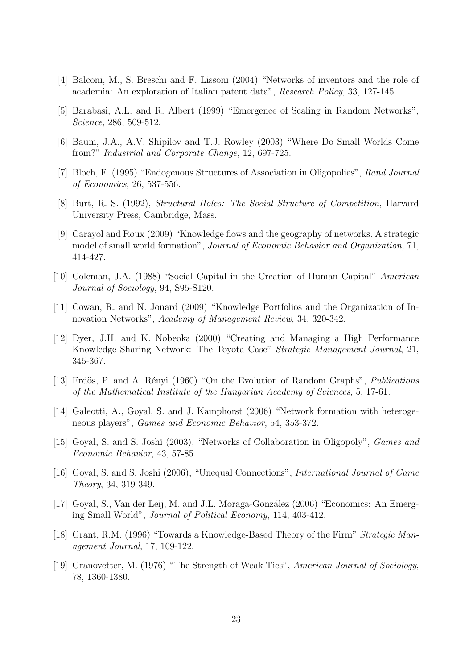- [4] Balconi, M., S. Breschi and F. Lissoni (2004) "Networks of inventors and the role of academia: An exploration of Italian patent data", Research Policy, 33, 127-145.
- [5] Barabasi, A.L. and R. Albert (1999) "Emergence of Scaling in Random Networks", Science, 286, 509-512.
- [6] Baum, J.A., A.V. Shipilov and T.J. Rowley (2003) "Where Do Small Worlds Come from?" Industrial and Corporate Change, 12, 697-725.
- [7] Bloch, F. (1995) "Endogenous Structures of Association in Oligopolies", Rand Journal of Economics, 26, 537-556.
- [8] Burt, R. S. (1992), Structural Holes: The Social Structure of Competition, Harvard University Press, Cambridge, Mass.
- [9] Carayol and Roux (2009) "Knowledge flows and the geography of networks. A strategic model of small world formation", Journal of Economic Behavior and Organization, 71, 414-427.
- [10] Coleman, J.A. (1988) "Social Capital in the Creation of Human Capital" American Journal of Sociology, 94, S95-S120.
- [11] Cowan, R. and N. Jonard (2009) "Knowledge Portfolios and the Organization of Innovation Networks", Academy of Management Review, 34, 320-342.
- [12] Dyer, J.H. and K. Nobeoka (2000) "Creating and Managing a High Performance Knowledge Sharing Network: The Toyota Case" Strategic Management Journal, 21, 345-367.
- [13] Erdös, P. and A. Rényi (1960) "On the Evolution of Random Graphs", *Publications* of the Mathematical Institute of the Hungarian Academy of Sciences, 5, 17-61.
- [14] Galeotti, A., Goyal, S. and J. Kamphorst (2006) "Network formation with heterogeneous players", Games and Economic Behavior, 54, 353-372.
- [15] Goyal, S. and S. Joshi (2003), "Networks of Collaboration in Oligopoly", Games and Economic Behavior, 43, 57-85.
- [16] Goyal, S. and S. Joshi (2006), "Unequal Connections", *International Journal of Game* Theory, 34, 319-349.
- [17] Goyal, S., Van der Leij, M. and J.L. Moraga-Gonz´alez (2006) "Economics: An Emerging Small World", Journal of Political Economy, 114, 403-412.
- [18] Grant, R.M. (1996) "Towards a Knowledge-Based Theory of the Firm" Strategic Management Journal, 17, 109-122.
- [19] Granovetter, M. (1976) "The Strength of Weak Ties", American Journal of Sociology, 78, 1360-1380.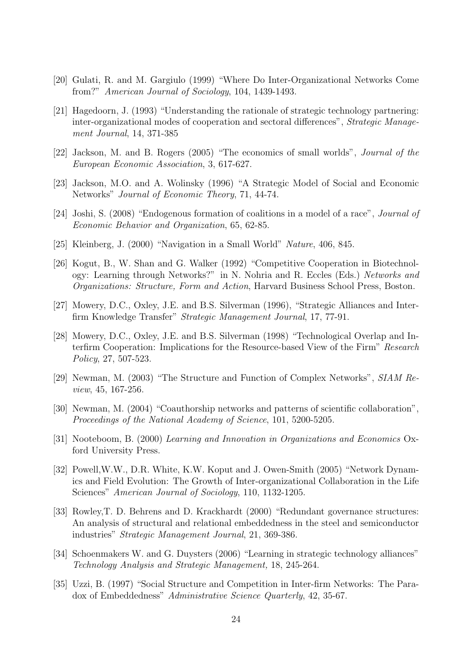- [20] Gulati, R. and M. Gargiulo (1999) "Where Do Inter-Organizational Networks Come from?" American Journal of Sociology, 104, 1439-1493.
- [21] Hagedoorn, J. (1993) "Understanding the rationale of strategic technology partnering: inter-organizational modes of cooperation and sectoral differences", Strategic Management Journal, 14, 371-385
- [22] Jackson, M. and B. Rogers (2005) "The economics of small worlds", Journal of the European Economic Association, 3, 617-627.
- [23] Jackson, M.O. and A. Wolinsky (1996) "A Strategic Model of Social and Economic Networks" Journal of Economic Theory, 71, 44-74.
- [24] Joshi, S. (2008) "Endogenous formation of coalitions in a model of a race", Journal of Economic Behavior and Organization, 65, 62-85.
- [25] Kleinberg, J. (2000) "Navigation in a Small World" Nature, 406, 845.
- [26] Kogut, B., W. Shan and G. Walker (1992) "Competitive Cooperation in Biotechnology: Learning through Networks?" in N. Nohria and R. Eccles (Eds.) Networks and Organizations: Structure, Form and Action, Harvard Business School Press, Boston.
- [27] Mowery, D.C., Oxley, J.E. and B.S. Silverman (1996), "Strategic Alliances and Interfirm Knowledge Transfer" Strategic Management Journal, 17, 77-91.
- [28] Mowery, D.C., Oxley, J.E. and B.S. Silverman (1998) "Technological Overlap and Interfirm Cooperation: Implications for the Resource-based View of the Firm" Research Policy, 27, 507-523.
- [29] Newman, M. (2003) "The Structure and Function of Complex Networks", SIAM Review, 45, 167-256.
- [30] Newman, M. (2004) "Coauthorship networks and patterns of scientific collaboration", Proceedings of the National Academy of Science, 101, 5200-5205.
- [31] Nooteboom, B. (2000) Learning and Innovation in Organizations and Economics Oxford University Press.
- [32] Powell,W.W., D.R. White, K.W. Koput and J. Owen-Smith (2005) "Network Dynamics and Field Evolution: The Growth of Inter-organizational Collaboration in the Life Sciences" American Journal of Sociology, 110, 1132-1205.
- [33] Rowley,T. D. Behrens and D. Krackhardt (2000) "Redundant governance structures: An analysis of structural and relational embeddedness in the steel and semiconductor industries" Strategic Management Journal, 21, 369-386.
- [34] Schoenmakers W. and G. Duysters (2006) "Learning in strategic technology alliances" Technology Analysis and Strategic Management, 18, 245-264.
- [35] Uzzi, B. (1997) "Social Structure and Competition in Inter-firm Networks: The Paradox of Embeddedness" Administrative Science Quarterly, 42, 35-67.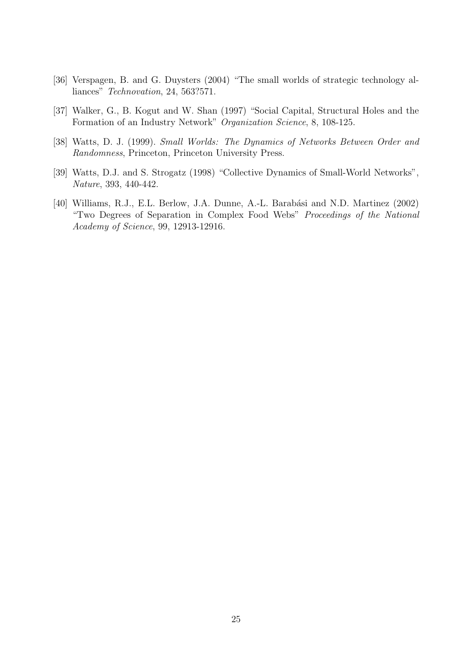- [36] Verspagen, B. and G. Duysters (2004) "The small worlds of strategic technology alliances" Technovation, 24, 563?571.
- [37] Walker, G., B. Kogut and W. Shan (1997) "Social Capital, Structural Holes and the Formation of an Industry Network" Organization Science, 8, 108-125.
- [38] Watts, D. J. (1999). Small Worlds: The Dynamics of Networks Between Order and Randomness, Princeton, Princeton University Press.
- [39] Watts, D.J. and S. Strogatz (1998) "Collective Dynamics of Small-World Networks", Nature, 393, 440-442.
- [40] Williams, R.J., E.L. Berlow, J.A. Dunne, A.-L. Barabási and N.D. Martinez (2002) "Two Degrees of Separation in Complex Food Webs" Proceedings of the National Academy of Science, 99, 12913-12916.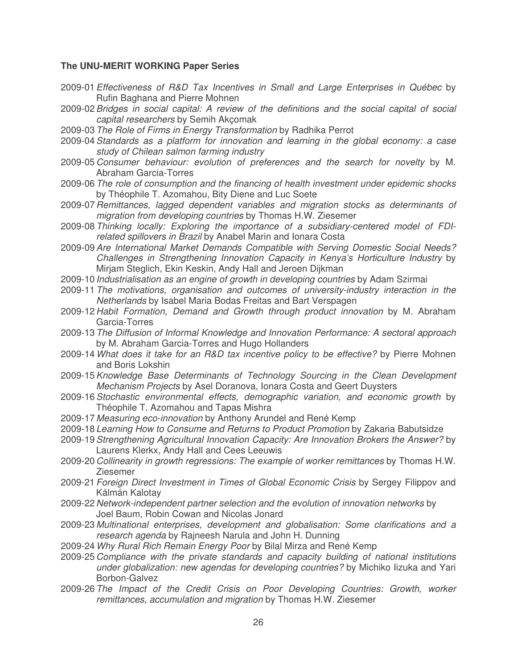#### **The UNU-MERIT WORKING Paper Series**

- 2009-01*Effectiveness of R&D Tax Incentives in Small and Large Enterprises in Québec* by Rufin Baghana and Pierre Mohnen
- 2009-02*Bridges in social capital: A review of the definitions and the social capital of social capital researchers* by Semih Akçomak
- 2009-03*The Role of Firms in Energy Transformation* by Radhika Perrot
- 2009-04*Standards as a platform for innovation and learning in the global economy: a case study of Chilean salmon farming industry*
- 2009-05 *Consumer behaviour: evolution of preferences and the search for novelty* by M. Abraham Garcia-Torres
- 2009-06*The role of consumption and the financing of health investment under epidemic shocks* by Théophile T. Azomahou, Bity Diene and Luc Soete
- 2009-07 *Remittances, lagged dependent variables and migration stocks as determinants of migration from developing countries* by Thomas H.W. Ziesemer
- 2009-08*Thinking locally: Exploring the importance of a subsidiary-centered model of FDIrelated spillovers in Brazil* by Anabel Marin and Ionara Costa
- 2009-09*Are International Market Demands Compatible with Serving Domestic Social Needs? Challenges in Strengthening Innovation Capacity in Kenya's Horticulture Industry* by Mirjam Steglich, Ekin Keskin, Andy Hall and Jeroen Dijkman
- 2009-10 *Industrialisation as an engine of growth in developing countries* by Adam Szirmai
- 2009-11*The motivations, organisation and outcomes of university-industry interaction in the Netherlands* by Isabel Maria Bodas Freitas and Bart Verspagen
- 2009-12 *Habit Formation, Demand and Growth through product innovation* by M. Abraham Garcia-Torres
- 2009-13*The Diffusion of Informal Knowledge and Innovation Performance: A sectoral approach* by M. Abraham Garcia-Torres and Hugo Hollanders
- 2009-14*What does it take for an R&D tax incentive policy to be effective?* by Pierre Mohnen and Boris Lokshin
- 2009-15*Knowledge Base Determinants of Technology Sourcing in the Clean Development Mechanism Projects* by Asel Doranova, Ionara Costa and Geert Duysters
- 2009-16*Stochastic environmental effects, demographic variation, and economic growth* by Théophile T. Azomahou and Tapas Mishra
- 2009-17 *Measuring eco-innovation* by Anthony Arundel and René Kemp
- 2009-18 *Learning How to Consume and Returns to Product Promotion* by Zakaria Babutsidze
- 2009-19*Strengthening Agricultural Innovation Capacity: Are Innovation Brokers the Answer?* by Laurens Klerkx, Andy Hall and Cees Leeuwis
- 2009-20 *Collinearity in growth regressions: The example of worker remittances* by Thomas H.W. Ziesemer
- 2009-21*Foreign Direct Investment in Times of Global Economic Crisis* by Sergey Filippov and Kálmán Kalotay
- 2009-22 *Network-independent partner selection and the evolution of innovation networks* by Joel Baum, Robin Cowan and Nicolas Jonard
- 2009-23 *Multinational enterprises, development and globalisation: Some clarifications and a research agenda* by Rajneesh Narula and John H. Dunning
- 2009-24*Why Rural Rich Remain Energy Poor* by Bilal Mirza and René Kemp
- 2009-25 *Compliance with the private standards and capacity building of national institutions under globalization: new agendas for developing countries?* by Michiko Iizuka and Yari Borbon-Galvez
- 2009-26*The Impact of the Credit Crisis on Poor Developing Countries: Growth, worker remittances, accumulation and migration* by Thomas H.W. Ziesemer